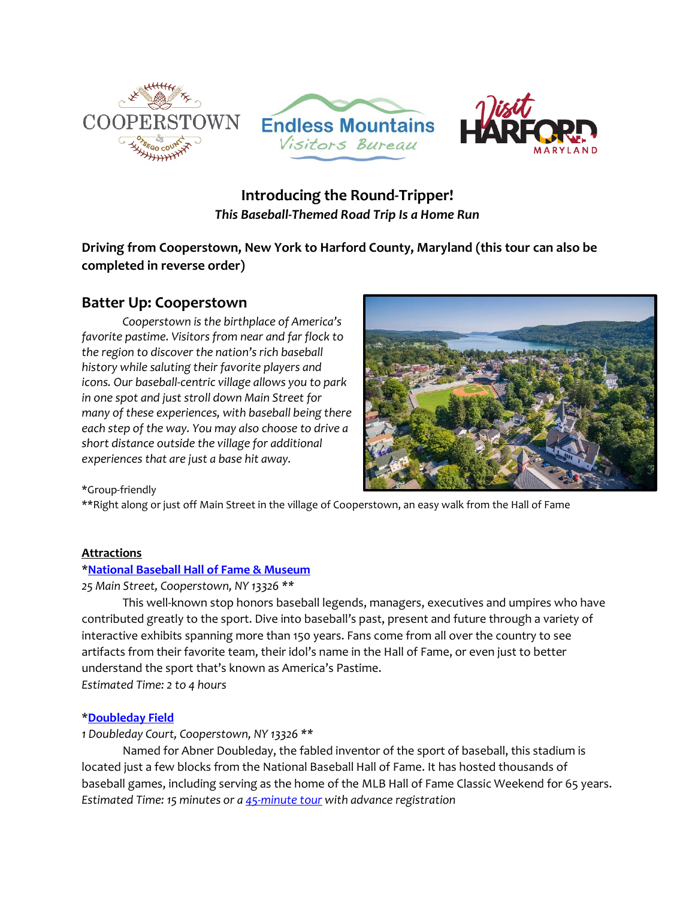





# **Introducing the Round-Tripper!** *This Baseball-Themed Road Trip Is a Home Run*

**Driving from Cooperstown, New York to Harford County, Maryland (this tour can also be completed in reverse order)**

# **Batter Up: Cooperstown**

*Cooperstown is the birthplace of America's favorite pastime. Visitors from near and far flock to the region to discover the nation's rich baseball history while saluting their favorite players and icons. Our baseball-centric village allows you to park in one spot and just stroll down Main Street for many of these experiences, with baseball being there each step of the way. You may also choose to drive a short distance outside the village for additional experiences that are just a base hit away.*



\*Group-friendly

\*\*Right along or just off Main Street in the village of Cooperstown, an easy walk from the Hall of Fame

# **Attractions**

# \***[National Baseball Hall of Fame](https://baseballhall.org/) & Museum**

*25 Main Street, Cooperstown, NY 13326 \*\**

This well-known stop honors baseball legends, managers, executives and umpires who have contributed greatly to the sport. Dive into baseball's past, present and future through a variety of interactive exhibits spanning more than 150 years. Fans come from all over the country to see artifacts from their favorite team, their idol's name in the Hall of Fame, or even just to better understand the sport that's known as America's Pastime. *Estimated Time: 2 to 4 hours*

# \***[Doubleday Field](https://www.doubledayfield.com/)**

# *1 Doubleday Court, Cooperstown, NY 13326 \*\**

Named for Abner Doubleday, the fabled inventor of the sport of baseball, this stadium is located just a few blocks from the National Baseball Hall of Fame. It has hosted thousands of baseball games, including serving as the home of the MLB Hall of Fame Classic Weekend for 65 years. *Estimated Time: 15 minutes or [a 45-minute tour](https://www.friendsofdoubleday.org/tours) with advance registration*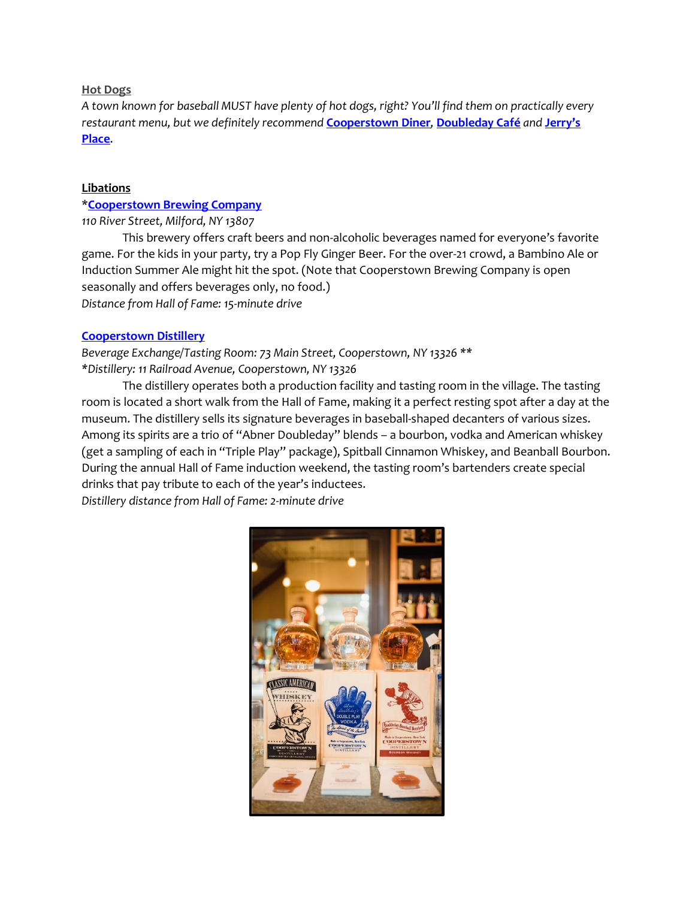# **Hot Dogs**

*A town known for baseball MUST have plenty of hot dogs, right? You'll find them on practically every restaurant menu, but we definitely recommend* **[Cooperstown Diner](https://www.cooperstowndiner.com/)***,* **[Doubleday Café](https://doubledaycafe.com/)** *and* **[Jerry's](http://www.jerrysplace-ny.com/)  [Place](http://www.jerrysplace-ny.com/)**.

# **Libations**

# \***[Cooperstown Brewing Company](https://www.cooperstownbrewing.com/)**

*110 River Street, Milford, NY 13807*

This brewery offers craft beers and non-alcoholic beverages named for everyone's favorite game. For the kids in your party, try a Pop Fly Ginger Beer. For the over-21 crowd, a Bambino Ale or Induction Summer Ale might hit the spot. (Note that Cooperstown Brewing Company is open seasonally and offers beverages only, no food.) *Distance from Hall of Fame: 15-minute drive*

# **[Cooperstown Distillery](https://cooperstowndistillery.com/)**

*Beverage Exchange/Tasting Room: 73 Main Street, Cooperstown, NY 13326 \*\* \*Distillery: 11 Railroad Avenue, Cooperstown, NY 13326*

The distillery operates both a production facility and tasting room in the village. The tasting room is located a short walk from the Hall of Fame, making it a perfect resting spot after a day at the museum. The distillery sells its signature beverages in baseball-shaped decanters of various sizes. Among its spirits are a trio of "Abner Doubleday" blends – a bourbon, vodka and American whiskey (get a sampling of each in "Triple Play" package), Spitball Cinnamon Whiskey, and Beanball Bourbon. During the annual Hall of Fame induction weekend, the tasting room's bartenders create special drinks that pay tribute to each of the year's inductees. *Distillery distance from Hall of Fame: 2-minute drive* 

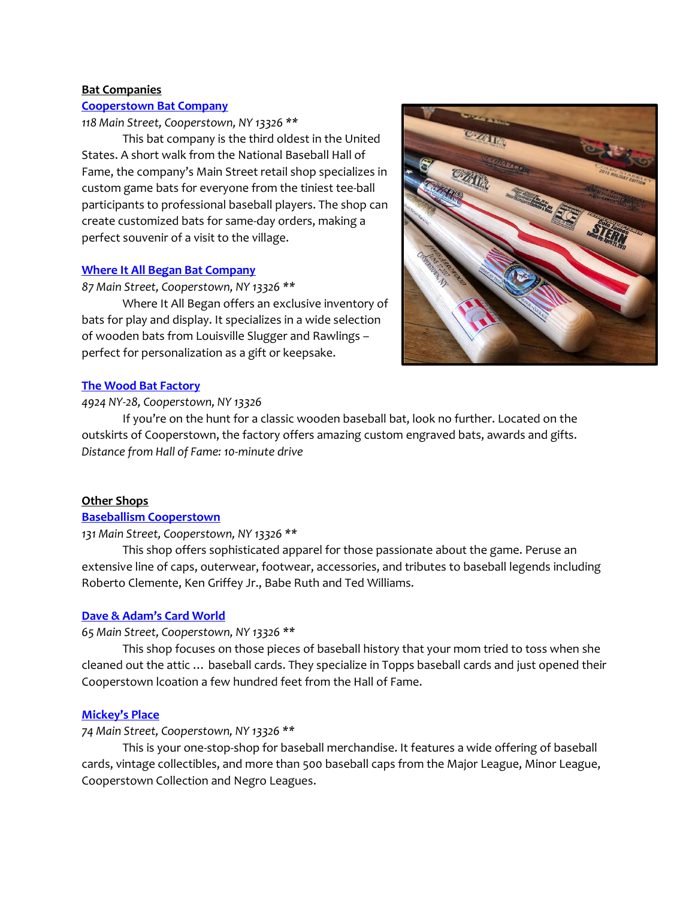# **Bat Companies**

### **[Cooperstown Bat Company](https://www.cooperstownbat.com/)**

### *118 Main Street, Cooperstown, NY 13326 \*\**

This bat company is the third oldest in the United States. A short walk from the National Baseball Hall of Fame, the company's Main Street retail shop specializes in custom game bats for everyone from the tiniest tee-ball participants to professional baseball players. The shop can create customized bats for same-day orders, making a perfect souvenir of a visit to the village.

### **[Where It All Began Bat Company](http://www.wiabbatco.com/)**

# *87 Main Street, Cooperstown, NY 13326 \*\**

Where It All Began offers an exclusive inventory of bats for play and display. It specializes in a wide selection of wooden bats from Louisville Slugger and Rawlings – perfect for personalization as a gift or keepsake.



### **[The Wood Bat Factory](https://www.thewoodbatfactory.com/)**

# *4924 NY-28, Cooperstown, NY 13326*

If you're on the hunt for a classic wooden baseball bat, look no further. Located on the outskirts of Cooperstown, the factory offers amazing custom engraved bats, awards and gifts. *Distance from Hall of Fame: 10-minute drive*

### **Other Shops**

### **[Baseballism Cooperstown](https://www.baseballism.com/)**

### *131 Main Street, Cooperstown, NY 13326 \*\**

This shop offers sophisticated apparel for those passionate about the game. Peruse an extensive line of caps, outerwear, footwear, accessories, and tributes to baseball legends including Roberto Clemente, Ken Griffey Jr., Babe Ruth and Ted Williams.

# **[Dave & Adam's Card World](https://www.daveandadamsstore.com/cooperstown/)**

### *65 Main Street, Cooperstown, NY 13326 \*\**

This shop focuses on those pieces of baseball history that your mom tried to toss when she cleaned out the attic … baseball cards. They specialize in Topps baseball cards and just opened their Cooperstown lcoation a few hundred feet from the Hall of Fame.

# **[Mickey's Place](https://www.mickeysplace.com/)**

### *74 Main Street, Cooperstown, NY 13326 \*\**

This is your one-stop-shop for baseball merchandise. It features a wide offering of baseball cards, vintage collectibles, and more than 500 baseball caps from the Major League, Minor League, Cooperstown Collection and Negro Leagues.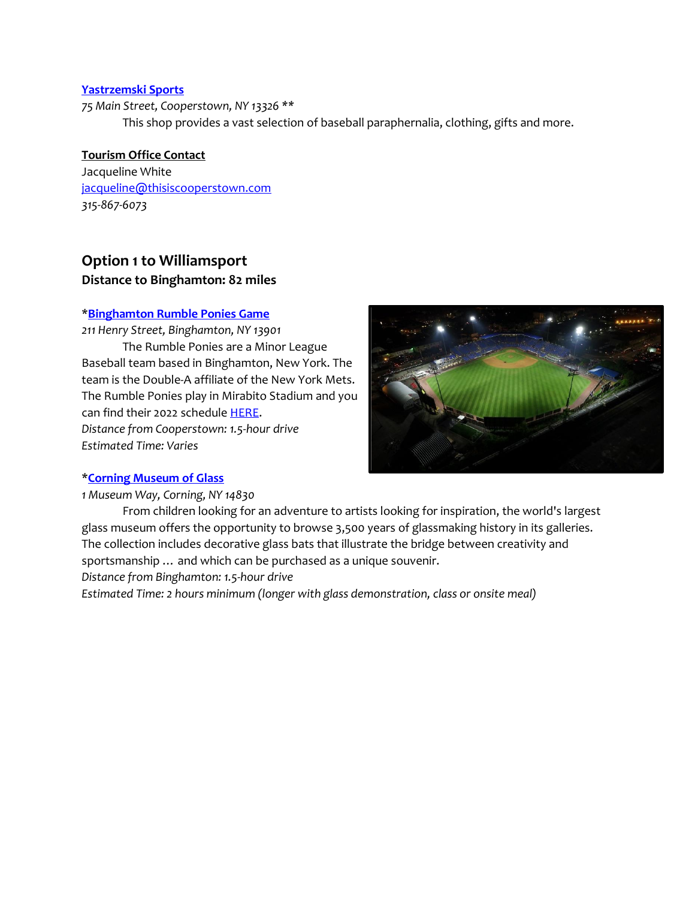# **[Yastrzemski Sports](http://www.yastrzemskisports.com/)**

*75 Main Street, Cooperstown, NY 13326 \*\** This shop provides a vast selection of baseball paraphernalia, clothing, gifts and more.

# **Tourism Office Contact**

Jacqueline White [jacqueline@thisiscooperstown.com](mailto:jacqueline@thisiscooperstown.com) *315-867-6073*

# **Option 1 to Williamsport Distance to Binghamton: 82 miles**

# \***[Binghamton Rumble Ponies Game](https://www.milb.com/binghamton)**

*211 Henry Street, Binghamton, NY 13901* The Rumble Ponies are a Minor League Baseball team based in Binghamton, New York. The team is the Double-A affiliate of the New York Mets. The Rumble Ponies play in Mirabito Stadium and you can find their 2022 schedule [HERE.](https://www.milb.com/binghamton/schedule/2022-04) *Distance from Cooperstown: 1.5-hour drive*

*Estimated Time: Varies*



# \***[Corning Museum of Glass](http://www.cmog.org/)**

*1 Museum Way, Corning, NY 14830*

From children looking for an adventure to artists looking for inspiration, the world's largest glass museum offers the opportunity to browse 3,500 years of glassmaking history in its galleries. The collection includes decorative glass bats that illustrate the bridge between creativity and sportsmanship … and which can be purchased as a unique souvenir.

*Distance from Binghamton: 1.5-hour drive*

*Estimated Time: 2 hours minimum (longer with glass demonstration, class or onsite meal)*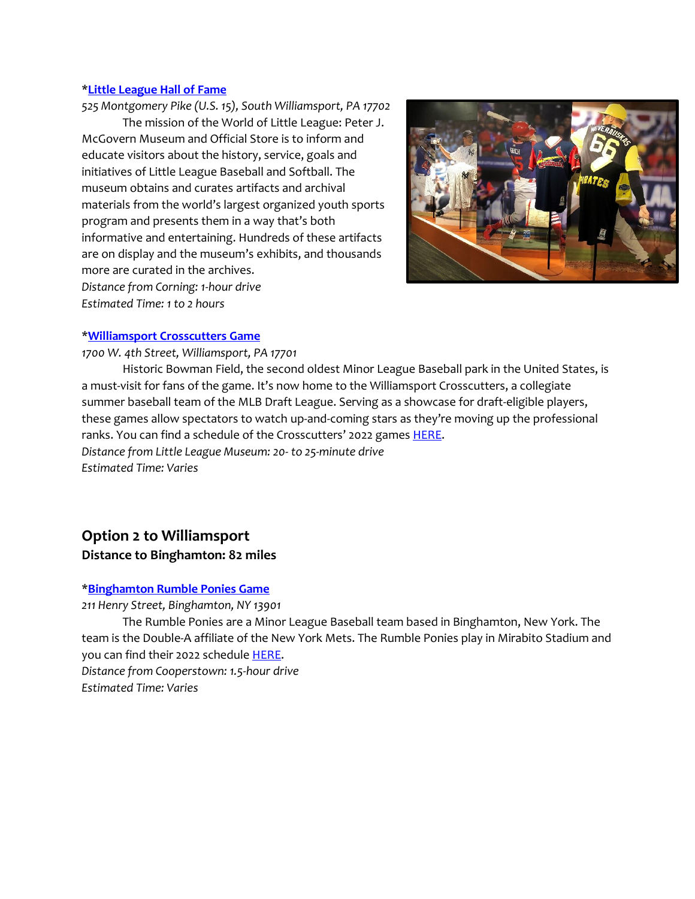#### \***[Little League Hall of Fame](https://www.littleleague.org/world-of-little-league/)**

*525 Montgomery Pike (U.S. 15), South Williamsport, PA 17702* The mission of the World of Little League: Peter J. McGovern Museum and Official Store is to inform and educate visitors about the history, service, goals and initiatives of Little League Baseball and Softball. The museum obtains and curates artifacts and archival materials from the world's largest organized youth sports program and presents them in a way that's both informative and entertaining. Hundreds of these artifacts are on display and the museum's exhibits, and thousands more are curated in the archives. *Distance from Corning: 1-hour drive*

*Estimated Time: 1 to 2 hours*



# \***[Williamsport Crosscutters Game](https://www.milb.com/williamsport)**

### *1700 W. 4th Street, Williamsport, PA 17701*

Historic Bowman Field, the second oldest Minor League Baseball park in the United States, is a must-visit for fans of the game. It's now home to the Williamsport Crosscutters, a collegiate summer baseball team of the MLB Draft League. Serving as a showcase for draft-eligible players, these games allow spectators to watch up-and-coming stars as they're moving up the professional ranks. You can find a schedule of the Crosscutters' 2022 games **HERE**. *Distance from Little League Museum: 20- to 25-minute drive Estimated Time: Varies*

# **Option 2 to Williamsport**

# **Distance to Binghamton: 82 miles**

# \***[Binghamton Rumble Ponies Game](https://www.milb.com/binghamton)**

*211 Henry Street, Binghamton, NY 13901*

The Rumble Ponies are a Minor League Baseball team based in Binghamton, New York. The team is the Double-A affiliate of the New York Mets. The Rumble Ponies play in Mirabito Stadium and you can find their 2022 schedule [HERE.](https://www.milb.com/binghamton/schedule/2022-04) *Distance from Cooperstown: 1.5-hour drive*

*Estimated Time: Varies*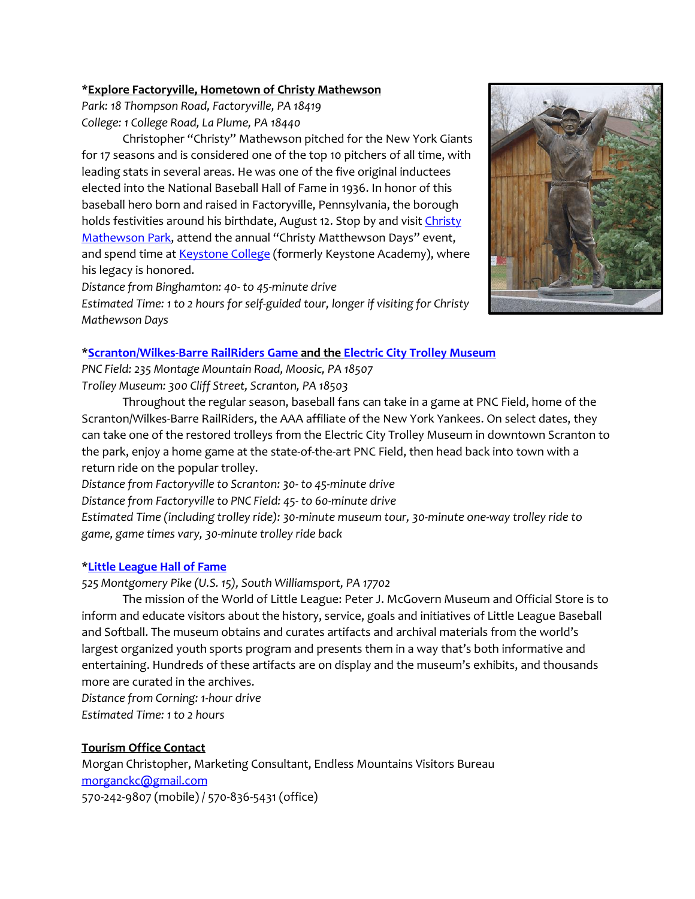# **\*Explore Factoryville, Hometown of Christy Mathewson**

*Park: 18 Thompson Road, Factoryville, PA 18419 College: 1 College Road, La Plume, PA 18440*

Christopher "Christy" Mathewson pitched for the New York Giants for 17 seasons and is considered one of the top 10 pitchers of all time, with leading stats in several areas. He was one of the five original inductees elected into the National Baseball Hall of Fame in 1936. In honor of this baseball hero born and raised in Factoryville, Pennsylvania, the borough holds festivities around his birthdate, August 12. Stop by and visit Christy [Mathewson Park,](https://www.discovernepa.com/thing-to-do/christy-mathewson-park/) attend the annual "Christy Matthewson Days" event, and spend time at **Keystone College** (formerly Keystone Academy), where his legacy is honored.

*Distance from Binghamton: 40- to 45-minute drive* 

*Estimated Time: 1 to 2 hours for self-guided tour, longer if visiting for Christy Mathewson Days* 

# \***[Scranton/Wilkes-Barre RailRiders](https://www.milb.com/scranton-wb/ballpark/visitpncfield) Game and the [Electric City Trolley Museum](http://www.ectma.org/)**

*PNC Field: 235 Montage Mountain Road, Moosic, PA 18507 Trolley Museum: 300 Cliff Street, Scranton, PA 18503*

Throughout the regular season, baseball fans can take in a game at PNC Field, home of the Scranton/Wilkes-Barre RailRiders, the AAA affiliate of the New York Yankees. On select dates, they can take one of the restored trolleys from the Electric City Trolley Museum in downtown Scranton to the park, enjoy a home game at the state-of-the-art PNC Field, then head back into town with a return ride on the popular trolley.

*Distance from Factoryville to Scranton: 30- to 45-minute drive Distance from Factoryville to PNC Field: 45- to 60-minute drive Estimated Time (including trolley ride): 30-minute museum tour, 30-minute one-way trolley ride to game, game times vary, 30-minute trolley ride back*

# \***[Little League Hall of Fame](https://www.littleleague.org/world-of-little-league/)**

*525 Montgomery Pike (U.S. 15), South Williamsport, PA 17702*

The mission of the World of Little League: Peter J. McGovern Museum and Official Store is to inform and educate visitors about the history, service, goals and initiatives of Little League Baseball and Softball. The museum obtains and curates artifacts and archival materials from the world's largest organized youth sports program and presents them in a way that's both informative and entertaining. Hundreds of these artifacts are on display and the museum's exhibits, and thousands more are curated in the archives.

*Distance from Corning: 1-hour drive Estimated Time: 1 to 2 hours*

# **Tourism Office Contact**

Morgan Christopher, Marketing Consultant, Endless Mountains Visitors Bureau [morganckc@gmail.com](mailto:morganckc@gmail.com) 570-242-9807 (mobile) / 570-836-5431 (office)

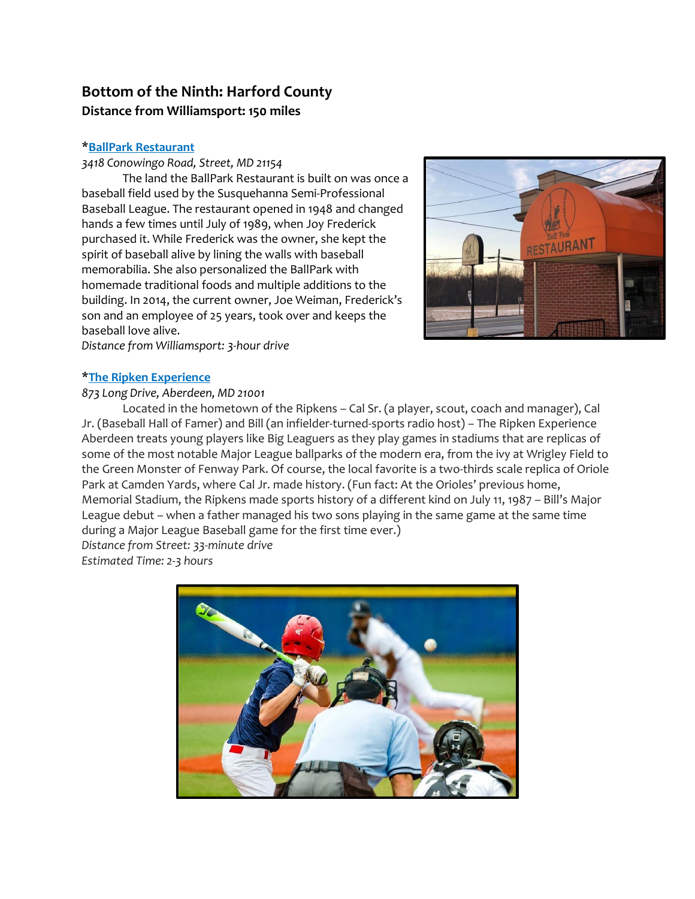# **Bottom of the Ninth: Harford County Distance from Williamsport: 150 miles**

# \***BallPark [Restaurant](https://www.ballparkrestaurant.com/)**

*3418 Conowingo Road, Street, MD 21154*

The land the BallPark Restaurant is built on was once a baseball field used by the Susquehanna Semi-Professional Baseball League. The restaurant opened in 1948 and changed hands a few times until July of 1989, when Joy Frederick purchased it. While Frederick was the owner, she kept the spirit of baseball alive by lining the walls with baseball memorabilia. She also personalized the BallPark with homemade traditional foods and multiple additions to the building. In 2014, the current owner, Joe Weiman, Frederick's son and an employee of 25 years, took over and keeps the baseball love alive.



*Distance from Williamsport: 3-hour drive*

# \***The Ripken [Experience](https://ripkenbaseball.com/locations/aberdeen/)**

# *873 Long Drive, Aberdeen, MD 21001*

Located in the hometown of the Ripkens – Cal Sr. (a player, scout, coach and manager), Cal Jr. (Baseball Hall of Famer) and Bill (an infielder-turned-sports radio host) – The Ripken Experience Aberdeen treats young players like Big Leaguers as they play games in stadiums that are replicas of some of the most notable Major League ballparks of the modern era, from the ivy at Wrigley Field to the Green Monster of Fenway Park. Of course, the local favorite is a two-thirds scale replica of Oriole Park at Camden Yards, where Cal Jr. made history. (Fun fact: At the Orioles' previous home, Memorial Stadium, the Ripkens made sports history of a different kind on July 11, 1987 – Bill's Major League debut – when a father managed his two sons playing in the same game at the same time during a Major League Baseball game for the first time ever.) *Distance from Street: 33-minute drive*

*Estimated Time: 2-3 hours*